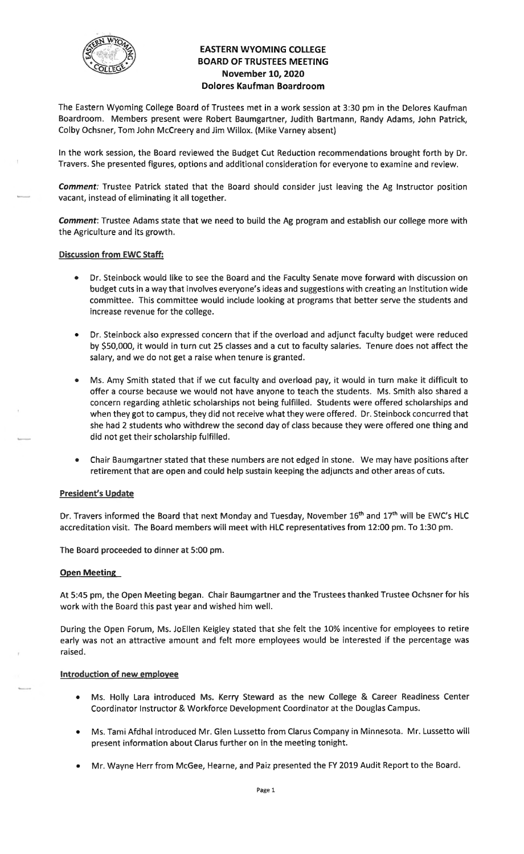

# **EASTERN WYOMING COLLEGE BOARD OF TRUSTEES MEETING November 10, 2020 Dolores Kaufman Boardroom**

The Eastern Wyoming College Board of Trustees met in a work session at 3:30 pm in the Delores Kaufman Boardroom. Members present were Robert Baumgartner, Judith Bartmann, Randy Adams, John Patrick, Colby Ochsner, Tom John Mccreery and Jim Willox. (Mike Varney absent)

In the work session, the Board reviewed the Budget Cut Reduction recommendations brought forth by Dr. Travers. She presented figures, options and additional consideration for everyone to examine and review.

**Comment:** Trustee Patrick stated that the Board should consider just leaving the Ag Instructor position vacant, instead of eliminating it all together.

**Comment:** Trustee Adams state that we need to build the Ag program and establish our college more with the Agriculture and its growth.

#### **Discussion from EWC Staff:**

- Dr. Steinbock would like to see the Board and the Faculty Senate move forward with discussion on budget cuts in a way that involves everyone's ideas and suggestions with creating an Institution wide committee. This committee would include looking at programs that better serve the students and increase revenue for the college.
- Dr. Steinbock also expressed concern that if the overload and adjunct faculty budget were reduced by \$50,000, it would in turn cut 25 classes and a cut to faculty salaries. Tenure does not affect the salary, and we do not get a raise when tenure is granted.
- Ms. Amy Smith stated that if we cut faculty and overload pay, it would in turn make it difficult to offer a course because we would not have anyone to teach the students. Ms. Smith also shared a concern regarding athletic scholarships not being fulfilled. Students were offered scholarships and when they got to campus, they did not receive what they were offered. Dr. Steinbock concurred that she had 2 students who withdrew the second day of class because they were offered one thing and did not get their scholarship fulfilled.
- Chair Baumgartner stated that these numbers are not edged in stone. We may have positions after retirement that are open and could help sustain keeping the adjuncts and other areas of cuts.

#### **President's Update**

Dr. Travers informed the Board that next Monday and Tuesday, November 16<sup>th</sup> and 17<sup>th</sup> will be EWC's HLC accreditation visit. The Board members will meet with HLC representatives from 12:00 pm. To 1:30 pm.

The Board proceeded to dinner at 5:00 pm.

#### **Open Meeting**

At 5:45 pm, the Open Meeting began. Chair Baumgartner and the Trustees thanked Trustee Ochsner for his work with the Board this past year and wished him well.

During the Open Forum, Ms. JoEllen Keigley stated that she felt the 10% incentive for employees to retire early was not an attractive amount and felt more employees would be interested if the percentage was raised.

#### **Introduction of new employee**

- Ms. Holly Lara introduced Ms. Kerry Steward as the new College & Career Readiness Center Coordinator Instructor & Workforce Development Coordinator at the Douglas Campus.
- Ms. Tami Afdhal introduced Mr. Glen Lussetto from Clarus Company in Minnesota. Mr. Lussetto will present information about Clarus further on in the meeting tonight.
- Mr. Wayne Herr from McGee, Hearne, and Paiz presented the FY 2019 Audit Report to the Board.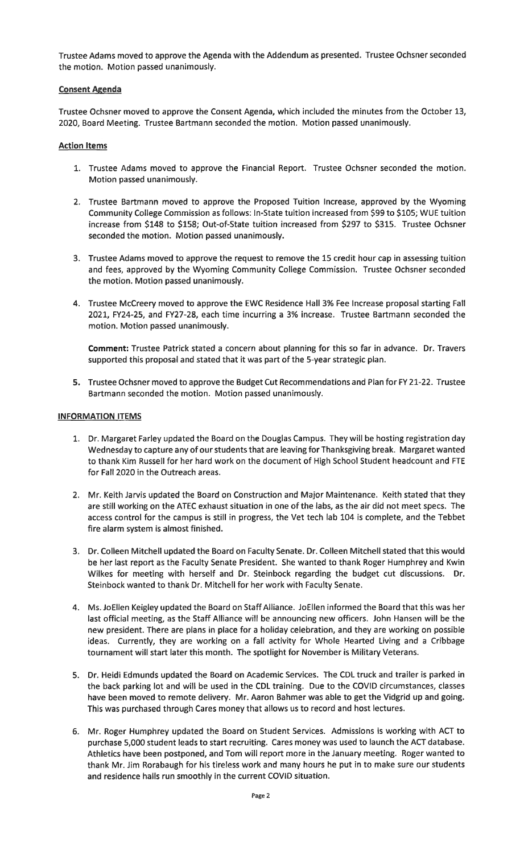Trustee Adams moved to approve the Agenda with the Addendum as presented. Trustee Ochsner seconded the motion. Motion passed unanimously.

### **Consent Agenda**

Trustee Ochsner moved to approve the Consent Agenda, which included the minutes from the October 13, 2020, Board Meeting. Trustee Bartmann seconded the motion. Motion passed unanimously.

### **Action Items**

- 1. Trustee Adams moved to approve the Financial Report. Trustee Ochsner seconded the motion. Motion passed unanimously.
- 2. Trustee Bartmann moved to approve the Proposed Tuition Increase, approved by the Wyoming Community College Commission as follows: In-State tuition increased from \$99 to \$105; WUE tuition increase from \$148 to \$158; Out-of-State tuition increased from \$297 to \$315. Trustee Ochsner seconded the motion. Motion passed unanimously.
- 3. Trustee Adams moved to approve the request to remove the 15 credit hour cap in assessing tuition and fees, approved by the Wyoming Community College Commission. Trustee Ochsner seconded the motion. Motion passed unanimously.
- 4. Trustee Mccreery moved to approve the EWC Residence Hall 3% Fee Increase proposal starting Fall 2021, FY24-25, and FY27-28, each time incurring a 3% increase. Trustee Bartmann seconded the motion. Motion passed unanimously.

**Comment:** Trustee Patrick stated a concern about planning for this so far in advance. Dr. Travers supported this proposal and stated that it was part of the 5-year strategic plan.

**5.** Trustee Ochsner moved to approve the Budget Cut Recommendations and Plan for FY 21-22. Trustee Bartmann seconded the motion. Motion passed unanimously.

#### **INFORMATION ITEMS**

- 1. Dr. Margaret Farley updated the Board on the Douglas Campus. They will be hosting registration day Wednesday to capture any of our students that are leaving for Thanksgiving break. Margaret wanted to thank Kim Russell for her hard work on the document of High School Student headcount and FTE for Fall 2020 in the Outreach areas.
- 2. Mr. Keith Jarvis updated the Board on Construction and Major Maintenance. Keith stated that they are still working on the ATEC exhaust situation in one of the labs, as the air did not meet specs. The access control for the campus is still in progress, the Vet tech lab 104 is complete, and the Tebbet fire alarm system is almost finished.
- 3. Dr. Colleen Mitchell updated the Board on Faculty Senate. Dr. Colleen Mitchell stated that this would be her last report as the Faculty Senate President. She wanted to thank Roger Humphrey and Kwin Wilkes for meeting with herself and Dr. Steinbock regarding the budget cut discussions. Dr. Steinbock wanted to thank Dr. Mitchell for her work with Faculty Senate.
- 4. Ms. Jo Ellen Keigley updated the Board on Staff Alliance. Jo Ellen informed the Board that this was her last official meeting, as the Staff Alliance will be announcing new officers. John Hansen will be the new president. There are plans in place for a holiday celebration, and they are working on possible ideas. Currently, they are working on a fall activity for Whole Hearted Living and a Cribbage tournament will start later this month. The spotlight for November is Military Veterans.
- 5. Dr. Heidi Edmunds updated the Board on Academic Services. The CDL truck and trailer is parked in the back parking lot and will be used in the CDL training. Due to the COVID circumstances, classes have been moved to remote delivery. Mr. Aaron Bahmer was able to get the Vidgrid up and going. This was purchased through Cares money that allows us to record and host lectures.
- 6. Mr. Roger Humphrey updated the Board on Student Services. Admissions is working with ACT to purchase 5,000 student leads to start recruiting. Cares money was used to launch the ACT database. Athletics have been postponed, and Tom will report more in the January meeting. Roger wanted to thank Mr. Jim Rorabaugh for his tireless work and many hours he put in to make sure our students and residence halls run smoothly in the current COVID situation.